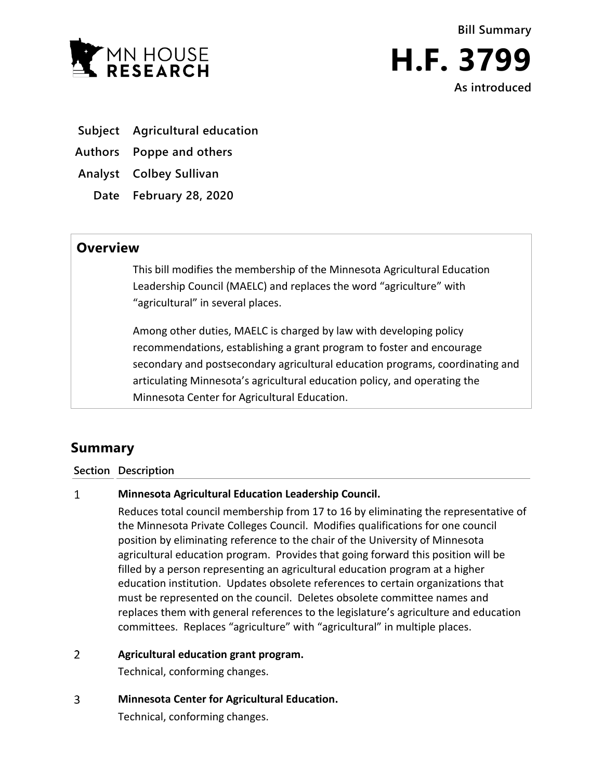



**As introduced**

- **Subject Agricultural education**
- **Authors Poppe and others**

**Analyst Colbey Sullivan**

**Date February 28, 2020**

## **Overview**

This bill modifies the membership of the Minnesota Agricultural Education Leadership Council (MAELC) and replaces the word "agriculture" with "agricultural" in several places.

Among other duties, MAELC is charged by law with developing policy recommendations, establishing a grant program to foster and encourage secondary and postsecondary agricultural education programs, coordinating and articulating Minnesota's agricultural education policy, and operating the Minnesota Center for Agricultural Education.

# **Summary**

### **Section Description**

#### $\mathbf{1}$ **Minnesota Agricultural Education Leadership Council.**

Reduces total council membership from 17 to 16 by eliminating the representative of the Minnesota Private Colleges Council. Modifies qualifications for one council position by eliminating reference to the chair of the University of Minnesota agricultural education program. Provides that going forward this position will be filled by a person representing an agricultural education program at a higher education institution. Updates obsolete references to certain organizations that must be represented on the council. Deletes obsolete committee names and replaces them with general references to the legislature's agriculture and education committees. Replaces "agriculture" with "agricultural" in multiple places.

#### $\overline{2}$ **Agricultural education grant program.**

Technical, conforming changes.

 $\overline{3}$ **Minnesota Center for Agricultural Education.**

Technical, conforming changes.